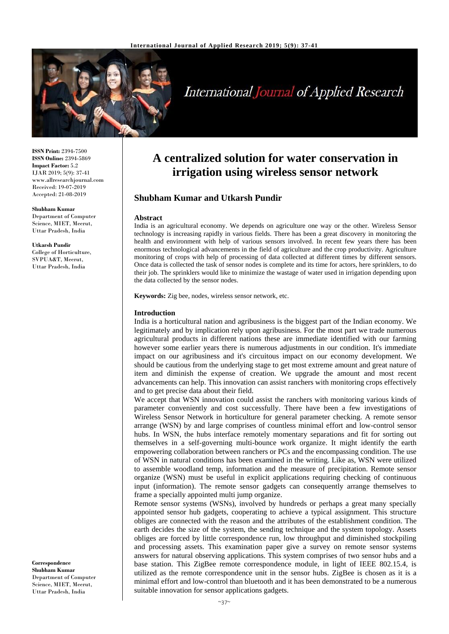

# **International Journal of Applied Research**

**ISSN Print:** 2394-7500 **ISSN Online:** 2394-5869 **Impact Factor:** 5.2 IJAR 2019; 5(9): 37-41 www.allresearchjournal.com Received: 19-07-2019 Accepted: 21-08-2019

**Shubham Kumar**

Department of Computer Science, MIET, Meerut, Uttar Pradesh, India

**Utkarsh Pundir** College of Horticulture, SVPUA&T, Meerut, Uttar Pradesh, India

**Correspondence Shubham Kumar** Department of Computer Science, MIET, Meerut, Uttar Pradesh, India

# **A centralized solution for water conservation in irrigation using wireless sensor network**

# **Shubham Kumar and Utkarsh Pundir**

#### **Abstract**

India is an agricultural economy. We depends on agriculture one way or the other. Wireless Sensor technology is increasing rapidly in various fields. There has been a great discovery in monitoring the health and environment with help of various sensors involved. In recent few years there has been enormous technological advancements in the field of agriculture and the crop productivity. Agriculture monitoring of crops with help of processing of data collected at different times by different sensors. Once data is collected the task of sensor nodes is complete and its time for actors, here sprinklers, to do their job. The sprinklers would like to minimize the wastage of water used in irrigation depending upon the data collected by the sensor nodes.

**Keywords:** Zig bee, nodes, wireless sensor network, etc.

#### **Introduction**

India is a horticultural nation and agribusiness is the biggest part of the Indian economy. We legitimately and by implication rely upon agribusiness. For the most part we trade numerous agricultural products in different nations these are immediate identified with our farming however some earlier years there is numerous adjustments in our condition. It's immediate impact on our agribusiness and it's circuitous impact on our economy development. We should be cautious from the underlying stage to get most extreme amount and great nature of item and diminish the expense of creation. We upgrade the amount and most recent advancements can help. This innovation can assist ranchers with monitoring crops effectively and to get precise data about their field.

We accept that WSN innovation could assist the ranchers with monitoring various kinds of parameter conveniently and cost successfully. There have been a few investigations of Wireless Sensor Network in horticulture for general parameter checking. A remote sensor arrange (WSN) by and large comprises of countless minimal effort and low-control sensor hubs. In WSN, the hubs interface remotely momentary separations and fit for sorting out themselves in a self-governing multi-bounce work organize. It might identify the earth empowering collaboration between ranchers or PCs and the encompassing condition. The use of WSN in natural conditions has been examined in the writing. Like as, WSN were utilized to assemble woodland temp, information and the measure of precipitation. Remote sensor organize (WSN) must be useful in explicit applications requiring checking of continuous input (information). The remote sensor gadgets can consequently arrange themselves to frame a specially appointed multi jump organize.

Remote sensor systems (WSNs), involved by hundreds or perhaps a great many specially appointed sensor hub gadgets, cooperating to achieve a typical assignment. This structure obliges are connected with the reason and the attributes of the establishment condition. The earth decides the size of the system, the sending technique and the system topology. Assets obliges are forced by little correspondence run, low throughput and diminished stockpiling and processing assets. This examination paper give a survey on remote sensor systems answers for natural observing applications. This system comprises of two sensor hubs and a base station. This ZigBee remote correspondence module, in light of IEEE 802.15.4, is utilized as the remote correspondence unit in the sensor hubs. ZigBee is chosen as it is a minimal effort and low-control than bluetooth and it has been demonstrated to be a numerous suitable innovation for sensor applications gadgets.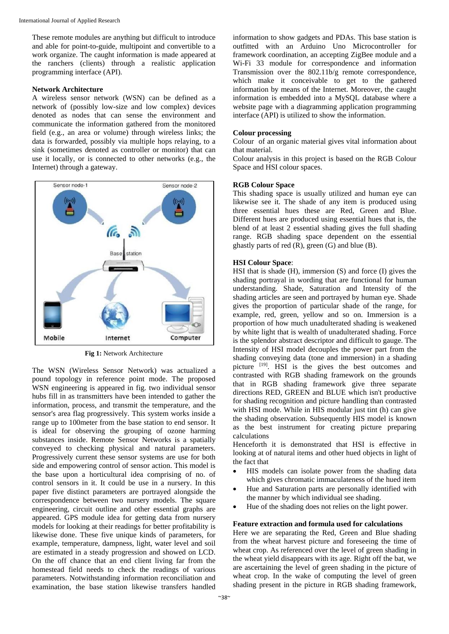These remote modules are anything but difficult to introduce and able for point-to-guide, multipoint and convertible to a work organize. The caught information is made appeared at the ranchers (clients) through a realistic application programming interface (API).

#### **Network Architecture**

A wireless sensor network (WSN) can be defined as a network of (possibly low-size and low complex) devices denoted as nodes that can sense the environment and communicate the information gathered from the monitored field (e.g., an area or volume) through wireless links; the data is forwarded, possibly via multiple hops relaying, to a sink (sometimes denoted as controller or monitor) that can use it locally, or is connected to other networks (e.g., the Internet) through a gateway.



**Fig 1:** Network Architecture

The WSN (Wireless Sensor Network) was actualized a pound topology in reference point mode. The proposed WSN engineering is appeared in fig. two individual sensor hubs fill in as transmitters have been intended to gather the information, process, and transmit the temperature, and the sensor's area flag progressively. This system works inside a range up to 100meter from the base station to end sensor. It is ideal for observing the grouping of ozone harming substances inside. Remote Sensor Networks is a spatially conveyed to checking physical and natural parameters. Progressively current these sensor systems are use for both side and empowering control of sensor action. This model is the base upon a horticultural idea comprising of no. of control sensors in it. It could be use in a nursery. In this paper five distinct parameters are portrayed alongside the correspondence between two nursery models. The square engineering, circuit outline and other essential graphs are appeared. GPS module idea for getting data from nursery models for looking at their readings for better profitability is likewise done. These five unique kinds of parameters, for example, temperature, dampness, light, water level and soil are estimated in a steady progression and showed on LCD. On the off chance that an end client living far from the homestead field needs to check the readings of various parameters. Notwithstanding information reconciliation and examination, the base station likewise transfers handled information to show gadgets and PDAs. This base station is outfitted with an Arduino Uno Microcontroller for framework coordination, an accepting ZigBee module and a Wi-Fi 33 module for correspondence and information Transmission over the 802.11b/g remote correspondence, which make it conceivable to get to the gathered information by means of the Internet. Moreover, the caught information is embedded into a MySQL database where a website page with a diagramming application programming interface (API) is utilized to show the information.

#### **Colour processing**

Colour of an organic material gives vital information about that material.

Colour analysis in this project is based on the RGB Colour Space and HSI colour spaces.

# **RGB Colour Space**

This shading space is usually utilized and human eye can likewise see it. The shade of any item is produced using three essential hues these are Red, Green and Blue. Different hues are produced using essential hues that is, the blend of at least 2 essential shading gives the full shading range. RGB shading space dependent on the essential ghastly parts of red (R), green (G) and blue (B).

#### **HSI Colour Space**:

HSI that is shade (H), immersion (S) and force (I) gives the shading portrayal in wording that are functional for human understanding. Shade, Saturation and Intensity of the shading articles are seen and portrayed by human eye. Shade gives the proportion of particular shade of the range, for example, red, green, yellow and so on. Immersion is a proportion of how much unadulterated shading is weakened by white light that is wealth of unadulterated shading. Force is the splendor abstract descriptor and difficult to gauge. The Intensity of HSI model decouples the power part from the shading conveying data (tone and immersion) in a shading picture <sup>[19]</sup>. HSI is the gives the best outcomes and contrasted with RGB shading framework on the grounds that in RGB shading framework give three separate directions RED, GREEN and BLUE which isn't productive for shading recognition and picture handling than contrasted with HSI mode. While in HIS modular just tint (h) can give the shading observation. Subsequently HIS model is known as the best instrument for creating picture preparing calculations

Henceforth it is demonstrated that HSI is effective in looking at of natural items and other hued objects in light of the fact that

- HIS models can isolate power from the shading data which gives chromatic immaculateness of the hued item
- Hue and Saturation parts are personally identified with the manner by which individual see shading.
- Hue of the shading does not relies on the light power.

#### **Feature extraction and formula used for calculations**

Here we are separating the Red, Green and Blue shading from the wheat harvest picture and foreseeing the time of wheat crop. As referenced over the level of green shading in the wheat yield disappears with its age. Right off the bat, we are ascertaining the level of green shading in the picture of wheat crop. In the wake of computing the level of green shading present in the picture in RGB shading framework,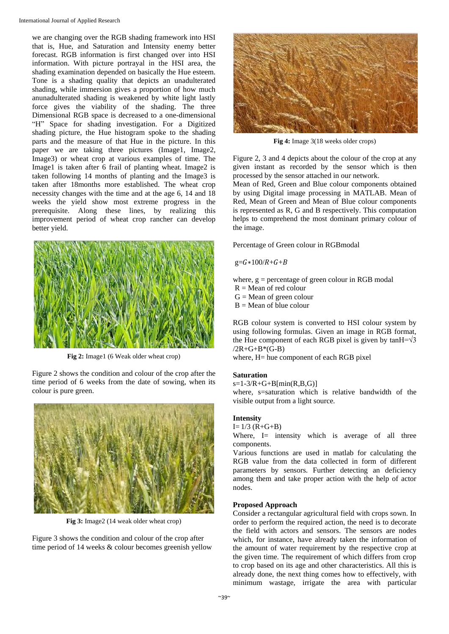we are changing over the RGB shading framework into HSI that is, Hue, and Saturation and Intensity enemy better forecast. RGB information is first changed over into HSI information. With picture portrayal in the HSI area, the shading examination depended on basically the Hue esteem. Tone is a shading quality that depicts an unadulterated shading, while immersion gives a proportion of how much anunadulterated shading is weakened by white light lastly force gives the viability of the shading. The three Dimensional RGB space is decreased to a one-dimensional "H" Space for shading investigation. For a Digitized shading picture, the Hue histogram spoke to the shading parts and the measure of that Hue in the picture. In this paper we are taking three pictures (Image1, Image2, Image3) or wheat crop at various examples of time. The Image1 is taken after 6 frail of planting wheat. Image2 is taken following 14 months of planting and the Image3 is taken after 18months more established. The wheat crop necessity changes with the time and at the age 6, 14 and 18 weeks the yield show most extreme progress in the prerequisite. Along these lines, by realizing this improvement period of wheat crop rancher can develop better yield.



**Fig 2:** Image1 (6 Weak older wheat crop)

Figure 2 shows the condition and colour of the crop after the time period of 6 weeks from the date of sowing, when its colour is pure green.



**Fig 3:** Image2 (14 weak older wheat crop)

Figure 3 shows the condition and colour of the crop after time period of 14 weeks & colour becomes greenish yellow



**Fig 4:** Image 3(18 weeks older crops)

Figure 2, 3 and 4 depicts about the colour of the crop at any given instant as recorded by the sensor which is then processed by the sensor attached in our network.

Mean of Red, Green and Blue colour components obtained by using Digital image processing in MATLAB. Mean of Red, Mean of Green and Mean of Blue colour components is represented as R, G and B respectively. This computation helps to comprehend the most dominant primary colour of the image.

Percentage of Green colour in RGBmodal

 $g=G*100/R+G+B$ 

where,  $g =$  percentage of green colour in RGB modal

- $R = Mean$  of red colour
- $G = Mean of green colour$
- $B = Mean of blue colour$

RGB colour system is converted to HSI colour system by using following formulas. Given an image in RGB format, the Hue component of each RGB pixel is given by tanH= $\sqrt{3}$  $/2R+G+B*(G-B)$ 

where, H= hue component of each RGB pixel

#### **Saturation**

 $s=1-3/R+G+B[\min(R,B,G)]$ 

where, s=saturation which is relative bandwidth of the visible output from a light source*.*

# **Intensity**

 $I= 1/3$   $(R+G+B)$ 

Where, I= intensity which is average of all three components.

Various functions are used in matlab for calculating the RGB value from the data collected in form of different parameters by sensors. Further detecting an deficiency among them and take proper action with the help of actor nodes.

#### **Proposed Approach**

Consider a rectangular agricultural field with crops sown. In order to perform the required action, the need is to decorate the field with actors and sensors. The sensors are nodes which, for instance, have already taken the information of the amount of water requirement by the respective crop at the given time. The requirement of which differs from crop to crop based on its age and other characteristics. All this is already done, the next thing comes how to effectively, with minimum wastage, irrigate the area with particular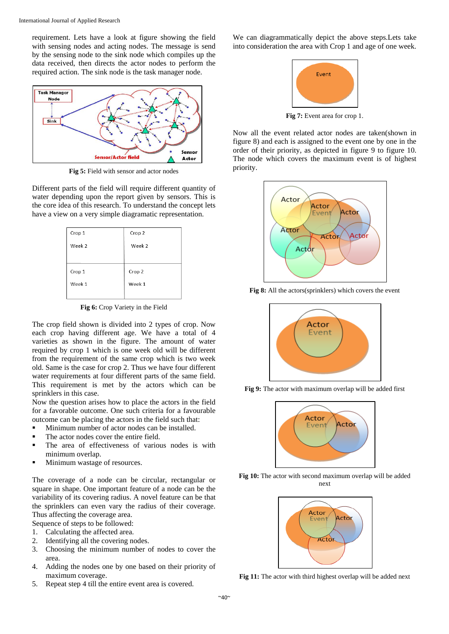requirement. Lets have a look at figure showing the field with sensing nodes and acting nodes. The message is send by the sensing node to the sink node which compiles up the data received, then directs the actor nodes to perform the required action. The sink node is the task manager node.



**Fig 5:** Field with sensor and actor nodes

Different parts of the field will require different quantity of water depending upon the report given by sensors. This is the core idea of this research. To understand the concept lets have a view on a very simple diagramatic representation.

| Crop 1 | Crop 2 |
|--------|--------|
| Week 2 | Week 2 |
|        |        |
| Crop 1 | Crop 2 |
| Week 1 | Week 1 |
|        |        |

**Fig 6:** Crop Variety in the Field

The crop field shown is divided into 2 types of crop. Now each crop having different age. We have a total of 4 varieties as shown in the figure. The amount of water required by crop 1 which is one week old will be different from the requirement of the same crop which is two week old. Same is the case for crop 2. Thus we have four different water requirements at four different parts of the same field. This requirement is met by the actors which can be sprinklers in this case.

Now the question arises how to place the actors in the field for a favorable outcome. One such criteria for a favourable outcome can be placing the actors in the field such that:

- **Minimum number of actor nodes can be installed.**
- The actor nodes cover the entire field.
- **The area of effectiveness of various nodes is with** minimum overlap.
- **Minimum wastage of resources.**

The coverage of a node can be circular, rectangular or square in shape. One important feature of a node can be the variability of its covering radius. A novel feature can be that the sprinklers can even vary the radius of their coverage. Thus affecting the coverage area.

Sequence of steps to be followed:

- 1. Calculating the affected area.
- 2. Identifying all the covering nodes.
- 3. Choosing the minimum number of nodes to cover the area.
- 4. Adding the nodes one by one based on their priority of maximum coverage.
- 5. Repeat step 4 till the entire event area is covered.

We can diagrammatically depict the above steps.Lets take into consideration the area with Crop 1 and age of one week.



Fig 7: Event area for crop 1.

Now all the event related actor nodes are taken(shown in figure 8) and each is assigned to the event one by one in the order of their priority, as depicted in figure 9 to figure 10. The node which covers the maximum event is of highest priority.



**Fig 8:** All the actors(sprinklers) which covers the event



**Fig 9:** The actor with maximum overlap will be added first



Fig 10: The actor with second maximum overlap will be added next



**Fig 11:** The actor with third highest overlap will be added next